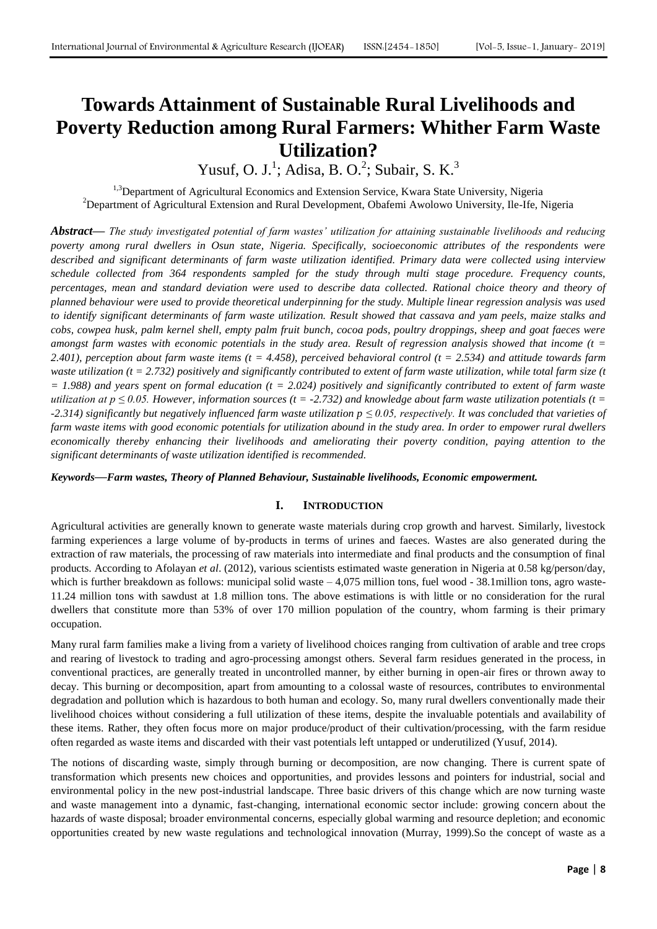# **Towards Attainment of Sustainable Rural Livelihoods and Poverty Reduction among Rural Farmers: Whither Farm Waste Utilization?**

Yusuf, O. J.<sup>1</sup>; Adisa, B. O.<sup>2</sup>; Subair, S. K.<sup>3</sup>

<sup>1,3</sup>Department of Agricultural Economics and Extension Service, Kwara State University, Nigeria <sup>2</sup>Department of Agricultural Extension and Rural Development, Obafemi Awolowo University, Ile-Ife, Nigeria

*Abstract***—** *The study investigated potential of farm wastes' utilization for attaining sustainable livelihoods and reducing poverty among rural dwellers in Osun state, Nigeria. Specifically, socioeconomic attributes of the respondents were described and significant determinants of farm waste utilization identified. Primary data were collected using interview schedule collected from 364 respondents sampled for the study through multi stage procedure. Frequency counts, percentages, mean and standard deviation were used to describe data collected. Rational choice theory and theory of planned behaviour were used to provide theoretical underpinning for the study. Multiple linear regression analysis was used to identify significant determinants of farm waste utilization. Result showed that cassava and yam peels, maize stalks and cobs, cowpea husk, palm kernel shell, empty palm fruit bunch, cocoa pods, poultry droppings, sheep and goat faeces were amongst farm wastes with economic potentials in the study area. Result of regression analysis showed that income (t = 2.401), perception about farm waste items (t = 4.458), perceived behavioral control (t = 2.534) and attitude towards farm waste utilization (t = 2.732) positively and significantly contributed to extent of farm waste utilization, while total farm size (t = 1.988) and years spent on formal education (t = 2.024) positively and significantly contributed to extent of farm waste utilization at p*  $\leq$  0.05. However, information sources (t = -2.732) and knowledge about farm waste utilization potentials (t = *-2.314) significantly but negatively influenced farm waste utilization p ≤ 0.05, respectively. It was concluded that varieties of farm waste items with good economic potentials for utilization abound in the study area. In order to empower rural dwellers economically thereby enhancing their livelihoods and ameliorating their poverty condition, paying attention to the significant determinants of waste utilization identified is recommended.* 

*Keywords***—***Farm wastes, Theory of Planned Behaviour, Sustainable livelihoods, Economic empowerment.*

# **I. INTRODUCTION**

Agricultural activities are generally known to generate waste materials during crop growth and harvest. Similarly, livestock farming experiences a large volume of by-products in terms of urines and faeces. Wastes are also generated during the extraction of raw materials, the processing of raw materials into intermediate and final products and the consumption of final products. According to Afolayan *et al*. (2012), various scientists estimated waste generation in Nigeria at 0.58 kg/person/day, which is further breakdown as follows: municipal solid waste  $-4,075$  million tons, fuel wood - 38.1million tons, agro waste-11.24 million tons with sawdust at 1.8 million tons. The above estimations is with little or no consideration for the rural dwellers that constitute more than 53% of over 170 million population of the country, whom farming is their primary occupation.

Many rural farm families make a living from a variety of livelihood choices ranging from cultivation of arable and tree crops and rearing of livestock to trading and agro-processing amongst others. Several farm residues generated in the process, in conventional practices, are generally treated in uncontrolled manner, by either burning in open-air fires or thrown away to decay. This burning or decomposition, apart from amounting to a colossal waste of resources, contributes to environmental degradation and pollution which is hazardous to both human and ecology. So, many rural dwellers conventionally made their livelihood choices without considering a full utilization of these items, despite the invaluable potentials and availability of these items. Rather, they often focus more on major produce/product of their cultivation/processing, with the farm residue often regarded as waste items and discarded with their vast potentials left untapped or underutilized (Yusuf, 2014).

The notions of discarding waste, simply through burning or decomposition, are now changing. There is current spate of transformation which presents new choices and opportunities, and provides lessons and pointers for industrial, social and environmental policy in the new post-industrial landscape. Three basic drivers of this change which are now turning waste and waste management into a dynamic, fast-changing, international economic sector include: growing concern about the hazards of waste disposal; broader environmental concerns, especially global warming and resource depletion; and economic opportunities created by new waste regulations and technological innovation (Murray, 1999).So the concept of waste as a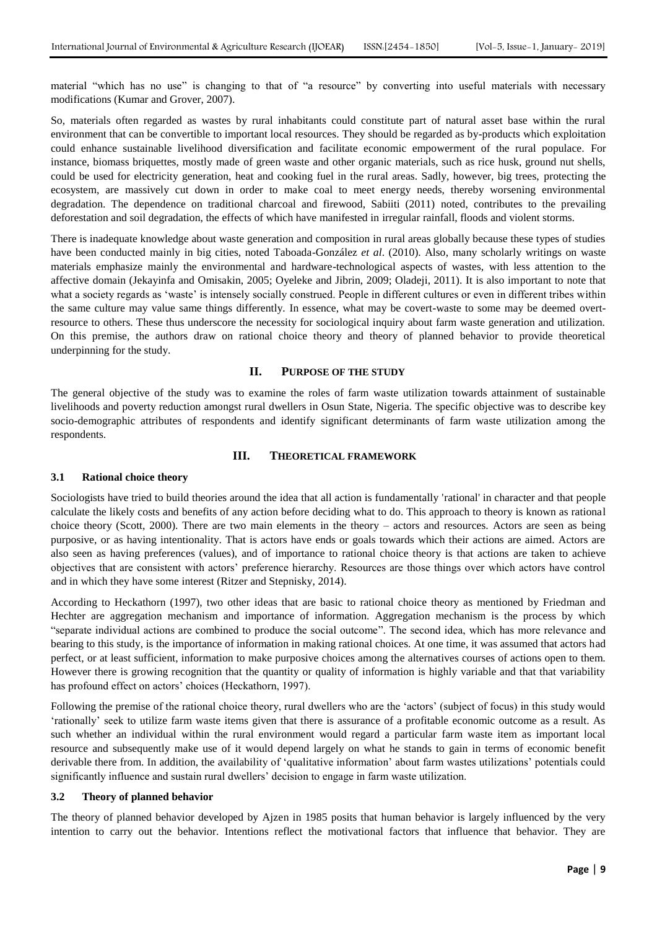material "which has no use" is changing to that of "a resource" by converting into useful materials with necessary modifications (Kumar and Grover, 2007).

So, materials often regarded as wastes by rural inhabitants could constitute part of natural asset base within the rural environment that can be convertible to important local resources. They should be regarded as by-products which exploitation could enhance sustainable livelihood diversification and facilitate economic empowerment of the rural populace. For instance, biomass briquettes, mostly made of green waste and other organic materials, such as rice husk, ground nut shells, could be used for electricity generation, heat and cooking fuel in the rural areas. Sadly, however, big trees, protecting the ecosystem, are massively cut down in order to make coal to meet energy needs, thereby worsening environmental degradation. The dependence on traditional charcoal and firewood, Sabiiti (2011) noted, contributes to the prevailing deforestation and soil degradation, the effects of which have manifested in irregular rainfall, floods and violent storms.

There is inadequate knowledge about waste generation and composition in rural areas globally because these types of studies have been conducted mainly in big cities, noted Taboada-González *et al*. (2010). Also, many scholarly writings on waste materials emphasize mainly the environmental and hardware-technological aspects of wastes, with less attention to the affective domain (Jekayinfa and Omisakin, 2005; Oyeleke and Jibrin, 2009; Oladeji, 2011). It is also important to note that what a society regards as 'waste' is intensely socially construed. People in different cultures or even in different tribes within the same culture may value same things differently. In essence, what may be covert-waste to some may be deemed overtresource to others. These thus underscore the necessity for sociological inquiry about farm waste generation and utilization. On this premise, the authors draw on rational choice theory and theory of planned behavior to provide theoretical underpinning for the study.

#### **II. PURPOSE OF THE STUDY**

The general objective of the study was to examine the roles of farm waste utilization towards attainment of sustainable livelihoods and poverty reduction amongst rural dwellers in Osun State, Nigeria. The specific objective was to describe key socio-demographic attributes of respondents and identify significant determinants of farm waste utilization among the respondents.

# **III. THEORETICAL FRAMEWORK**

#### **3.1 Rational choice theory**

Sociologists have tried to build theories around the idea that all action is fundamentally 'rational' in character and that people calculate the likely costs and benefits of any action before deciding what to do. This approach to theory is known as rational choice theory (Scott, 2000). There are two main elements in the theory – actors and resources. Actors are seen as being purposive, or as having intentionality. That is actors have ends or goals towards which their actions are aimed. Actors are also seen as having preferences (values), and of importance to rational choice theory is that actions are taken to achieve objectives that are consistent with actors" preference hierarchy. Resources are those things over which actors have control and in which they have some interest (Ritzer and Stepnisky, 2014).

According to Heckathorn (1997), two other ideas that are basic to rational choice theory as mentioned by Friedman and Hechter are aggregation mechanism and importance of information. Aggregation mechanism is the process by which "separate individual actions are combined to produce the social outcome". The second idea, which has more relevance and bearing to this study, is the importance of information in making rational choices. At one time, it was assumed that actors had perfect, or at least sufficient, information to make purposive choices among the alternatives courses of actions open to them. However there is growing recognition that the quantity or quality of information is highly variable and that that variability has profound effect on actors' choices (Heckathorn, 1997).

Following the premise of the rational choice theory, rural dwellers who are the "actors" (subject of focus) in this study would "rationally" seek to utilize farm waste items given that there is assurance of a profitable economic outcome as a result. As such whether an individual within the rural environment would regard a particular farm waste item as important local resource and subsequently make use of it would depend largely on what he stands to gain in terms of economic benefit derivable there from. In addition, the availability of "qualitative information" about farm wastes utilizations" potentials could significantly influence and sustain rural dwellers' decision to engage in farm waste utilization.

### **3.2 Theory of planned behavior**

The theory of planned behavior developed by Ajzen in 1985 posits that human behavior is largely influenced by the very intention to carry out the behavior. Intentions reflect the motivational factors that influence that behavior. They are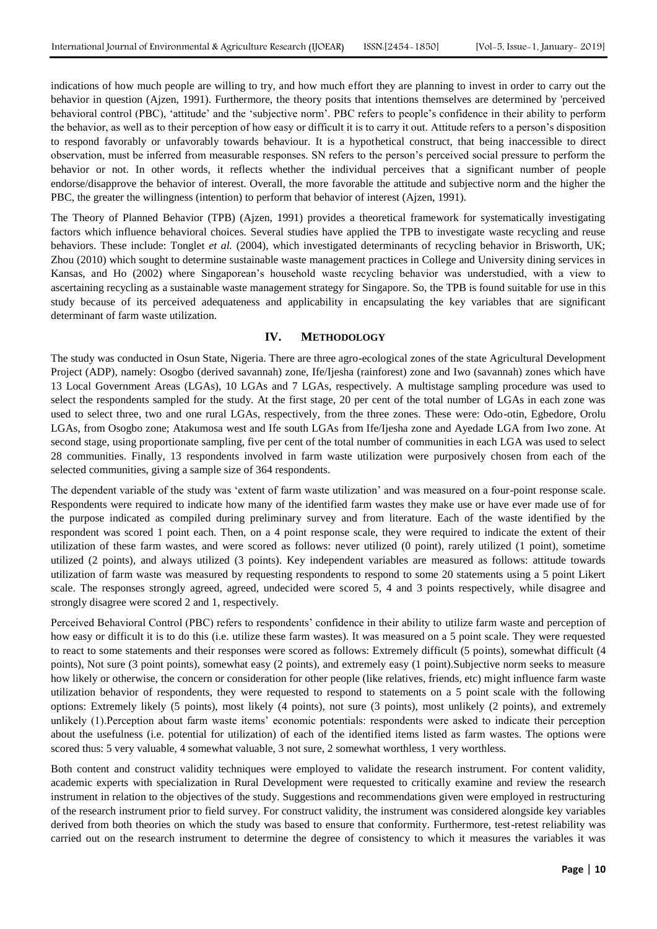indications of how much people are willing to try, and how much effort they are planning to invest in order to carry out the behavior in question (Ajzen, 1991). Furthermore, the theory posits that intentions themselves are determined by 'perceived behavioral control (PBC), "attitude" and the "subjective norm". PBC refers to people"s confidence in their ability to perform the behavior, as well as to their perception of how easy or difficult it is to carry it out. Attitude refers to a person"s disposition to respond favorably or unfavorably towards behaviour. It is a hypothetical construct, that being inaccessible to direct observation, must be inferred from measurable responses. SN refers to the person"s perceived social pressure to perform the behavior or not. In other words, it reflects whether the individual perceives that a significant number of people endorse/disapprove the behavior of interest. Overall, the more favorable the attitude and subjective norm and the higher the PBC, the greater the willingness (intention) to perform that behavior of interest (Ajzen, 1991).

The Theory of Planned Behavior (TPB) (Ajzen, 1991) provides a theoretical framework for systematically investigating factors which influence behavioral choices. Several studies have applied the TPB to investigate waste recycling and reuse behaviors. These include: Tonglet *et al.* (2004), which investigated determinants of recycling behavior in Brisworth, UK; Zhou (2010) which sought to determine sustainable waste management practices in College and University dining services in Kansas, and Ho (2002) where Singaporean"s household waste recycling behavior was understudied, with a view to ascertaining recycling as a sustainable waste management strategy for Singapore. So, the TPB is found suitable for use in this study because of its perceived adequateness and applicability in encapsulating the key variables that are significant determinant of farm waste utilization.

#### **IV. METHODOLOGY**

The study was conducted in Osun State, Nigeria. There are three agro-ecological zones of the state Agricultural Development Project (ADP), namely: Osogbo (derived savannah) zone, Ife/Ijesha (rainforest) zone and Iwo (savannah) zones which have 13 Local Government Areas (LGAs), 10 LGAs and 7 LGAs, respectively. A multistage sampling procedure was used to select the respondents sampled for the study. At the first stage, 20 per cent of the total number of LGAs in each zone was used to select three, two and one rural LGAs, respectively, from the three zones. These were: Odo-otin, Egbedore, Orolu LGAs, from Osogbo zone; Atakumosa west and Ife south LGAs from Ife/Ijesha zone and Ayedade LGA from Iwo zone. At second stage, using proportionate sampling, five per cent of the total number of communities in each LGA was used to select 28 communities. Finally, 13 respondents involved in farm waste utilization were purposively chosen from each of the selected communities, giving a sample size of 364 respondents.

The dependent variable of the study was "extent of farm waste utilization" and was measured on a four-point response scale. Respondents were required to indicate how many of the identified farm wastes they make use or have ever made use of for the purpose indicated as compiled during preliminary survey and from literature. Each of the waste identified by the respondent was scored 1 point each. Then, on a 4 point response scale, they were required to indicate the extent of their utilization of these farm wastes, and were scored as follows: never utilized (0 point), rarely utilized (1 point), sometime utilized (2 points), and always utilized (3 points). Key independent variables are measured as follows: attitude towards utilization of farm waste was measured by requesting respondents to respond to some 20 statements using a 5 point Likert scale. The responses strongly agreed, agreed, undecided were scored 5, 4 and 3 points respectively, while disagree and strongly disagree were scored 2 and 1, respectively.

Perceived Behavioral Control (PBC) refers to respondents" confidence in their ability to utilize farm waste and perception of how easy or difficult it is to do this (i.e. utilize these farm wastes). It was measured on a 5 point scale. They were requested to react to some statements and their responses were scored as follows: Extremely difficult (5 points), somewhat difficult (4 points), Not sure (3 point points), somewhat easy (2 points), and extremely easy (1 point).Subjective norm seeks to measure how likely or otherwise, the concern or consideration for other people (like relatives, friends, etc) might influence farm waste utilization behavior of respondents, they were requested to respond to statements on a 5 point scale with the following options: Extremely likely (5 points), most likely (4 points), not sure (3 points), most unlikely (2 points), and extremely unlikely (1).Perception about farm waste items" economic potentials: respondents were asked to indicate their perception about the usefulness (i.e. potential for utilization) of each of the identified items listed as farm wastes. The options were scored thus: 5 very valuable, 4 somewhat valuable, 3 not sure, 2 somewhat worthless, 1 very worthless.

Both content and construct validity techniques were employed to validate the research instrument. For content validity, academic experts with specialization in Rural Development were requested to critically examine and review the research instrument in relation to the objectives of the study. Suggestions and recommendations given were employed in restructuring of the research instrument prior to field survey. For construct validity, the instrument was considered alongside key variables derived from both theories on which the study was based to ensure that conformity. Furthermore, test-retest reliability was carried out on the research instrument to determine the degree of consistency to which it measures the variables it was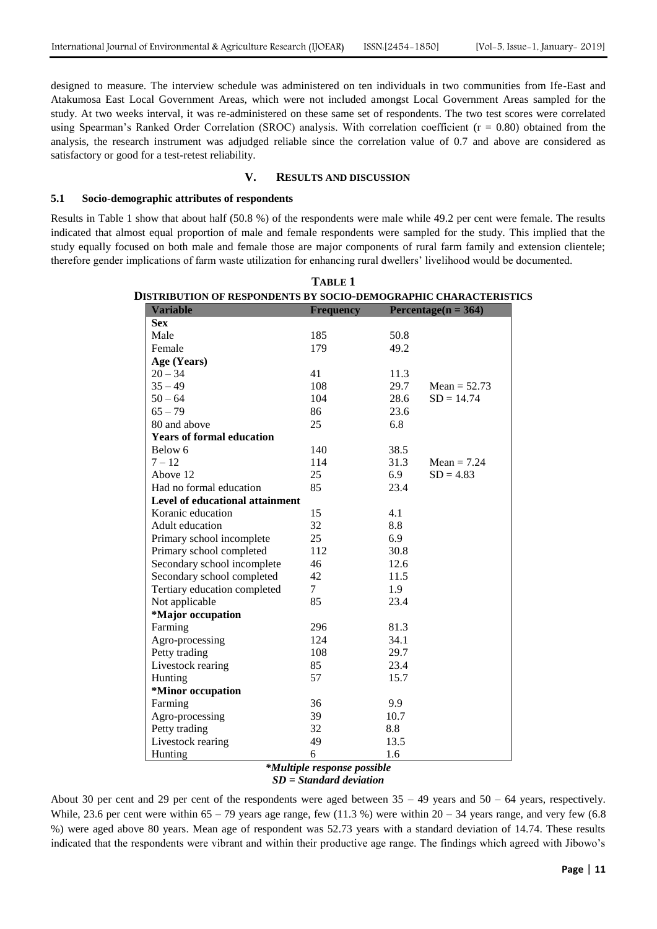designed to measure. The interview schedule was administered on ten individuals in two communities from Ife-East and Atakumosa East Local Government Areas, which were not included amongst Local Government Areas sampled for the study. At two weeks interval, it was re-administered on these same set of respondents. The two test scores were correlated using Spearman's Ranked Order Correlation (SROC) analysis. With correlation coefficient ( $r = 0.80$ ) obtained from the analysis, the research instrument was adjudged reliable since the correlation value of 0.7 and above are considered as satisfactory or good for a test-retest reliability.

#### **V. RESULTS AND DISCUSSION**

### **5.1 Socio-demographic attributes of respondents**

Results in Table 1 show that about half (50.8 %) of the respondents were male while 49.2 per cent were female. The results indicated that almost equal proportion of male and female respondents were sampled for the study. This implied that the study equally focused on both male and female those are major components of rural farm family and extension clientele; therefore gender implications of farm waste utilization for enhancing rural dwellers" livelihood would be documented.

| <b>IISTRIBUTION OF RESPONDENTS BY SOCIO-DEMOGRAPHIC CHARACTERISTIC</b> |                  |                         |                |  |  |  |
|------------------------------------------------------------------------|------------------|-------------------------|----------------|--|--|--|
| <b>Variable</b>                                                        | <b>Frequency</b> | Percentage( $n = 364$ ) |                |  |  |  |
| <b>Sex</b>                                                             |                  |                         |                |  |  |  |
| Male                                                                   | 185              | 50.8                    |                |  |  |  |
| Female                                                                 | 179              | 49.2                    |                |  |  |  |
| Age (Years)                                                            |                  |                         |                |  |  |  |
| $20 - 34$                                                              | 41               | 11.3                    |                |  |  |  |
| $35 - 49$                                                              | 108              | 29.7                    | Mean = $52.73$ |  |  |  |
| $50 - 64$                                                              | 104              | 28.6                    | $SD = 14.74$   |  |  |  |
| $65 - 79$                                                              | 86               | 23.6                    |                |  |  |  |
| 80 and above                                                           | 25               | 6.8                     |                |  |  |  |
| <b>Years of formal education</b>                                       |                  |                         |                |  |  |  |
| Below 6                                                                | 140              | 38.5                    |                |  |  |  |
| $7 - 12$                                                               | 114              | 31.3                    | Mean $= 7.24$  |  |  |  |
| Above 12                                                               | 25               | 6.9                     | $SD = 4.83$    |  |  |  |
| Had no formal education                                                | 85               | 23.4                    |                |  |  |  |
| Level of educational attainment                                        |                  |                         |                |  |  |  |
| Koranic education                                                      | 15               | 4.1                     |                |  |  |  |
| Adult education                                                        | 32               | 8.8                     |                |  |  |  |
| Primary school incomplete                                              | 25               | 6.9                     |                |  |  |  |
| Primary school completed                                               | 112              | 30.8                    |                |  |  |  |
| Secondary school incomplete                                            | 46               | 12.6                    |                |  |  |  |
| Secondary school completed                                             | 42               | 11.5                    |                |  |  |  |
| Tertiary education completed                                           | $\overline{7}$   | 1.9                     |                |  |  |  |
| Not applicable                                                         | 85               | 23.4                    |                |  |  |  |
| *Major occupation                                                      |                  |                         |                |  |  |  |
| Farming                                                                | 296              | 81.3                    |                |  |  |  |
| Agro-processing                                                        | 124              | 34.1                    |                |  |  |  |
| Petty trading                                                          | 108              | 29.7                    |                |  |  |  |
| Livestock rearing                                                      | 85               | 23.4                    |                |  |  |  |
| Hunting                                                                | 57               | 15.7                    |                |  |  |  |
| *Minor occupation                                                      |                  |                         |                |  |  |  |
| Farming                                                                | 36               | 9.9                     |                |  |  |  |
| Agro-processing                                                        | 39               | 10.7                    |                |  |  |  |
| Petty trading                                                          | 32               | 8.8                     |                |  |  |  |
| Livestock rearing                                                      | 49               | 13.5                    |                |  |  |  |
| Hunting                                                                | 6                | 1.6                     |                |  |  |  |

# **TABLE 1 DISTRIBUTION OF RESPONDENTS BY SOCIO-DEMOGRAPHIC CHARACTERISTICS**

#### *\*Multiple response possible*

*SD = Standard deviation*

About 30 per cent and 29 per cent of the respondents were aged between  $35 - 49$  years and  $50 - 64$  years, respectively. While, 23.6 per cent were within 65 – 79 years age range, few (11.3 %) were within  $20 - 34$  years range, and very few (6.8) %) were aged above 80 years. Mean age of respondent was 52.73 years with a standard deviation of 14.74. These results indicated that the respondents were vibrant and within their productive age range. The findings which agreed with Jibowo"s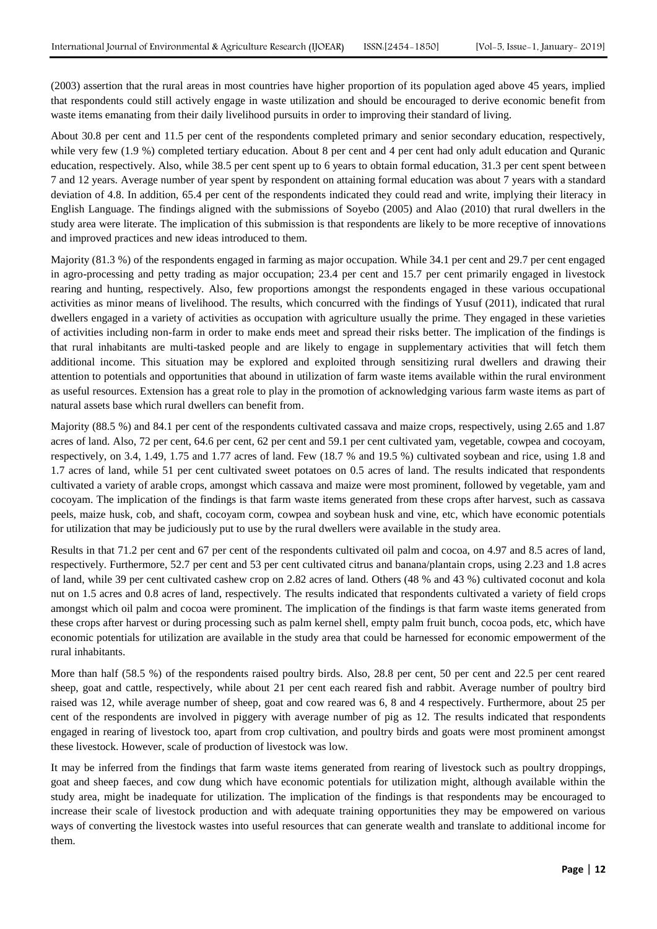(2003) assertion that the rural areas in most countries have higher proportion of its population aged above 45 years, implied that respondents could still actively engage in waste utilization and should be encouraged to derive economic benefit from waste items emanating from their daily livelihood pursuits in order to improving their standard of living.

About 30.8 per cent and 11.5 per cent of the respondents completed primary and senior secondary education, respectively, while very few (1.9 %) completed tertiary education. About 8 per cent and 4 per cent had only adult education and Quranic education, respectively. Also, while 38.5 per cent spent up to 6 years to obtain formal education, 31.3 per cent spent between 7 and 12 years. Average number of year spent by respondent on attaining formal education was about 7 years with a standard deviation of 4.8. In addition, 65.4 per cent of the respondents indicated they could read and write, implying their literacy in English Language. The findings aligned with the submissions of Soyebo (2005) and Alao (2010) that rural dwellers in the study area were literate. The implication of this submission is that respondents are likely to be more receptive of innovations and improved practices and new ideas introduced to them.

Majority (81.3 %) of the respondents engaged in farming as major occupation. While 34.1 per cent and 29.7 per cent engaged in agro-processing and petty trading as major occupation; 23.4 per cent and 15.7 per cent primarily engaged in livestock rearing and hunting, respectively. Also, few proportions amongst the respondents engaged in these various occupational activities as minor means of livelihood. The results, which concurred with the findings of Yusuf (2011), indicated that rural dwellers engaged in a variety of activities as occupation with agriculture usually the prime. They engaged in these varieties of activities including non-farm in order to make ends meet and spread their risks better. The implication of the findings is that rural inhabitants are multi-tasked people and are likely to engage in supplementary activities that will fetch them additional income. This situation may be explored and exploited through sensitizing rural dwellers and drawing their attention to potentials and opportunities that abound in utilization of farm waste items available within the rural environment as useful resources. Extension has a great role to play in the promotion of acknowledging various farm waste items as part of natural assets base which rural dwellers can benefit from.

Majority (88.5 %) and 84.1 per cent of the respondents cultivated cassava and maize crops, respectively, using 2.65 and 1.87 acres of land. Also, 72 per cent, 64.6 per cent, 62 per cent and 59.1 per cent cultivated yam, vegetable, cowpea and cocoyam, respectively, on 3.4, 1.49, 1.75 and 1.77 acres of land. Few (18.7 % and 19.5 %) cultivated soybean and rice, using 1.8 and 1.7 acres of land, while 51 per cent cultivated sweet potatoes on 0.5 acres of land. The results indicated that respondents cultivated a variety of arable crops, amongst which cassava and maize were most prominent, followed by vegetable, yam and cocoyam. The implication of the findings is that farm waste items generated from these crops after harvest, such as cassava peels, maize husk, cob, and shaft, cocoyam corm, cowpea and soybean husk and vine, etc, which have economic potentials for utilization that may be judiciously put to use by the rural dwellers were available in the study area.

Results in that 71.2 per cent and 67 per cent of the respondents cultivated oil palm and cocoa, on 4.97 and 8.5 acres of land, respectively. Furthermore, 52.7 per cent and 53 per cent cultivated citrus and banana/plantain crops, using 2.23 and 1.8 acres of land, while 39 per cent cultivated cashew crop on 2.82 acres of land. Others (48 % and 43 %) cultivated coconut and kola nut on 1.5 acres and 0.8 acres of land, respectively. The results indicated that respondents cultivated a variety of field crops amongst which oil palm and cocoa were prominent. The implication of the findings is that farm waste items generated from these crops after harvest or during processing such as palm kernel shell, empty palm fruit bunch, cocoa pods, etc, which have economic potentials for utilization are available in the study area that could be harnessed for economic empowerment of the rural inhabitants.

More than half (58.5 %) of the respondents raised poultry birds. Also, 28.8 per cent, 50 per cent and 22.5 per cent reared sheep, goat and cattle, respectively, while about 21 per cent each reared fish and rabbit. Average number of poultry bird raised was 12, while average number of sheep, goat and cow reared was 6, 8 and 4 respectively. Furthermore, about 25 per cent of the respondents are involved in piggery with average number of pig as 12. The results indicated that respondents engaged in rearing of livestock too, apart from crop cultivation, and poultry birds and goats were most prominent amongst these livestock. However, scale of production of livestock was low.

It may be inferred from the findings that farm waste items generated from rearing of livestock such as poultry droppings, goat and sheep faeces, and cow dung which have economic potentials for utilization might, although available within the study area, might be inadequate for utilization. The implication of the findings is that respondents may be encouraged to increase their scale of livestock production and with adequate training opportunities they may be empowered on various ways of converting the livestock wastes into useful resources that can generate wealth and translate to additional income for them.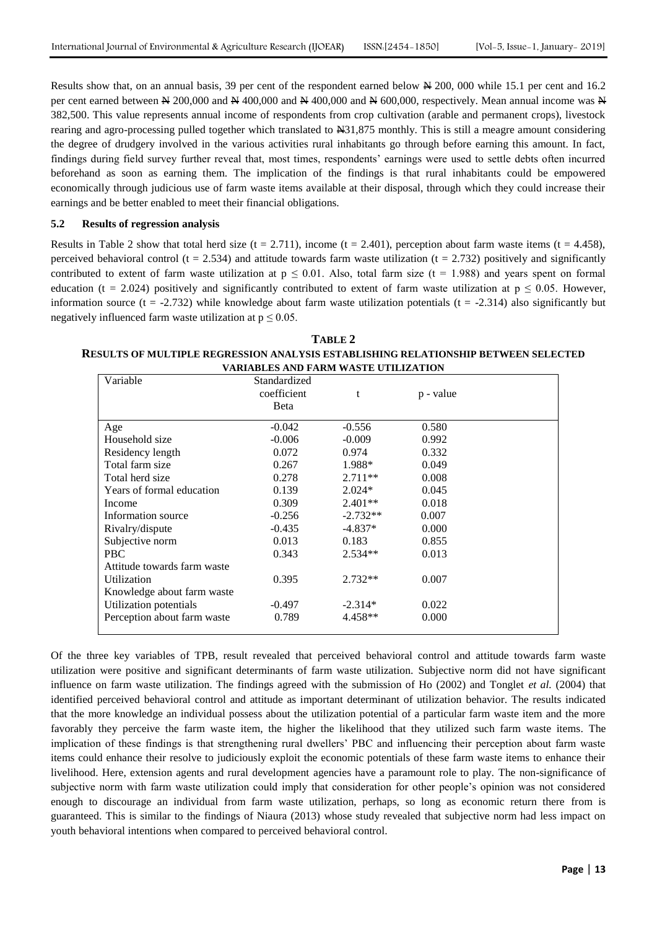Results show that, on an annual basis, 39 per cent of the respondent earned below  $\cancel{\text{A}}$  200, 000 while 15.1 per cent and 16.2 per cent earned between  $\cong 200,000$  and  $\cong 400,000$  and  $\cong 400,000$  and  $\cong 600,000$ , respectively. Mean annual income was  $\cong$ 382,500. This value represents annual income of respondents from crop cultivation (arable and permanent crops), livestock rearing and agro-processing pulled together which translated to N31,875 monthly. This is still a meagre amount considering the degree of drudgery involved in the various activities rural inhabitants go through before earning this amount. In fact, findings during field survey further reveal that, most times, respondents" earnings were used to settle debts often incurred beforehand as soon as earning them. The implication of the findings is that rural inhabitants could be empowered economically through judicious use of farm waste items available at their disposal, through which they could increase their earnings and be better enabled to meet their financial obligations.

#### **5.2 Results of regression analysis**

Results in Table 2 show that total herd size  $(t = 2.711)$ , income  $(t = 2.401)$ , perception about farm waste items  $(t = 4.458)$ , perceived behavioral control ( $t = 2.534$ ) and attitude towards farm waste utilization ( $t = 2.732$ ) positively and significantly contributed to extent of farm waste utilization at  $p \le 0.01$ . Also, total farm size (t = 1.988) and years spent on formal education (t = 2.024) positively and significantly contributed to extent of farm waste utilization at  $p \le 0.05$ . However, information source ( $t = -2.732$ ) while knowledge about farm waste utilization potentials ( $t = -2.314$ ) also significantly but negatively influenced farm waste utilization at  $p \leq 0.05$ .

| TABLE 2                                                                            |
|------------------------------------------------------------------------------------|
| RESULTS OF MULTIPLE REGRESSION ANALYSIS ESTABLISHING RELATIONSHIP BETWEEN SELECTED |
| <b>VARIABLES AND FARM WASTE UTILIZATION</b>                                        |

| Variable                    | Standardized<br>coefficient<br>Beta | t          | p - value |  |
|-----------------------------|-------------------------------------|------------|-----------|--|
| Age                         | $-0.042$                            | $-0.556$   | 0.580     |  |
| Household size              | $-0.006$                            | $-0.009$   | 0.992     |  |
| Residency length            | 0.072                               | 0.974      | 0.332     |  |
| Total farm size             | 0.267                               | 1.988*     | 0.049     |  |
| Total herd size             | 0.278                               | $2.711**$  | 0.008     |  |
| Years of formal education   | 0.139                               | $2.024*$   | 0.045     |  |
| Income                      | 0.309                               | $2.401**$  | 0.018     |  |
| Information source          | $-0.256$                            | $-2.732**$ | 0.007     |  |
| Rivalry/dispute             | $-0.435$                            | $-4.837*$  | 0.000     |  |
| Subjective norm             | 0.013                               | 0.183      | 0.855     |  |
| <b>PBC</b>                  | 0.343                               | $2.534**$  | 0.013     |  |
| Attitude towards farm waste |                                     |            |           |  |
| Utilization                 | 0.395                               | $2.732**$  | 0.007     |  |
| Knowledge about farm waste  |                                     |            |           |  |
| Utilization potentials      | $-0.497$                            | $-2.314*$  | 0.022     |  |
| Perception about farm waste | 0.789                               | 4.458**    | 0.000     |  |

Of the three key variables of TPB, result revealed that perceived behavioral control and attitude towards farm waste utilization were positive and significant determinants of farm waste utilization. Subjective norm did not have significant influence on farm waste utilization. The findings agreed with the submission of Ho (2002) and Tonglet *et al.* (2004) that identified perceived behavioral control and attitude as important determinant of utilization behavior. The results indicated that the more knowledge an individual possess about the utilization potential of a particular farm waste item and the more favorably they perceive the farm waste item, the higher the likelihood that they utilized such farm waste items. The implication of these findings is that strengthening rural dwellers" PBC and influencing their perception about farm waste items could enhance their resolve to judiciously exploit the economic potentials of these farm waste items to enhance their livelihood. Here, extension agents and rural development agencies have a paramount role to play. The non-significance of subjective norm with farm waste utilization could imply that consideration for other people"s opinion was not considered enough to discourage an individual from farm waste utilization, perhaps, so long as economic return there from is guaranteed. This is similar to the findings of Niaura (2013) whose study revealed that subjective norm had less impact on youth behavioral intentions when compared to perceived behavioral control.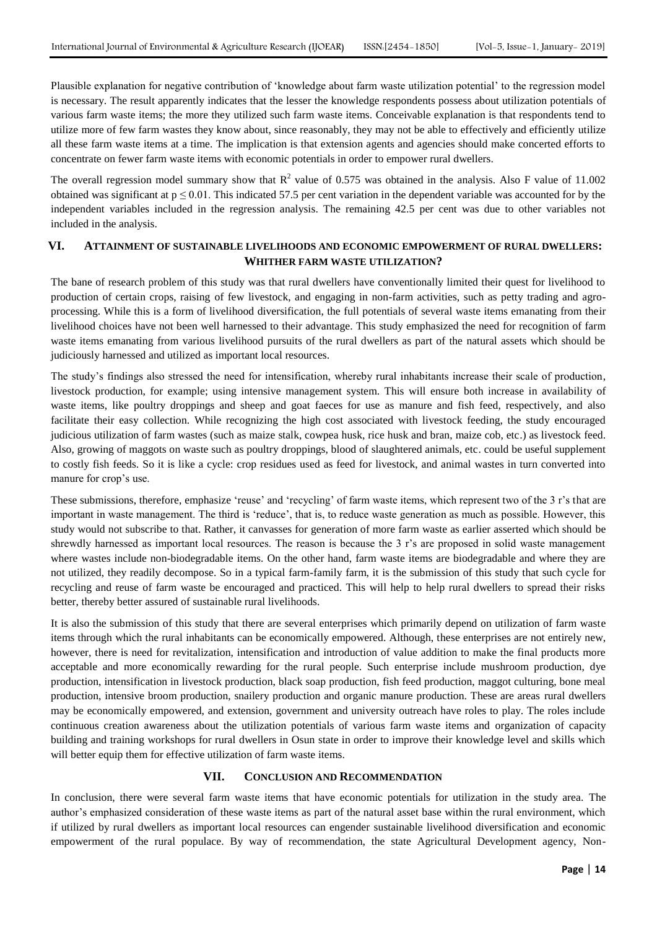Plausible explanation for negative contribution of "knowledge about farm waste utilization potential" to the regression model is necessary. The result apparently indicates that the lesser the knowledge respondents possess about utilization potentials of various farm waste items; the more they utilized such farm waste items. Conceivable explanation is that respondents tend to utilize more of few farm wastes they know about, since reasonably, they may not be able to effectively and efficiently utilize all these farm waste items at a time. The implication is that extension agents and agencies should make concerted efforts to concentrate on fewer farm waste items with economic potentials in order to empower rural dwellers.

The overall regression model summary show that  $R^2$  value of 0.575 was obtained in the analysis. Also F value of 11.002 obtained was significant at  $p \le 0.01$ . This indicated 57.5 per cent variation in the dependent variable was accounted for by the independent variables included in the regression analysis. The remaining 42.5 per cent was due to other variables not included in the analysis.

# **VI. ATTAINMENT OF SUSTAINABLE LIVELIHOODS AND ECONOMIC EMPOWERMENT OF RURAL DWELLERS: WHITHER FARM WASTE UTILIZATION?**

The bane of research problem of this study was that rural dwellers have conventionally limited their quest for livelihood to production of certain crops, raising of few livestock, and engaging in non-farm activities, such as petty trading and agroprocessing. While this is a form of livelihood diversification, the full potentials of several waste items emanating from their livelihood choices have not been well harnessed to their advantage. This study emphasized the need for recognition of farm waste items emanating from various livelihood pursuits of the rural dwellers as part of the natural assets which should be judiciously harnessed and utilized as important local resources.

The study"s findings also stressed the need for intensification, whereby rural inhabitants increase their scale of production, livestock production, for example; using intensive management system. This will ensure both increase in availability of waste items, like poultry droppings and sheep and goat faeces for use as manure and fish feed, respectively, and also facilitate their easy collection. While recognizing the high cost associated with livestock feeding, the study encouraged judicious utilization of farm wastes (such as maize stalk, cowpea husk, rice husk and bran, maize cob, etc.) as livestock feed. Also, growing of maggots on waste such as poultry droppings, blood of slaughtered animals, etc. could be useful supplement to costly fish feeds. So it is like a cycle: crop residues used as feed for livestock, and animal wastes in turn converted into manure for crop's use.

These submissions, therefore, emphasize 'reuse' and 'recycling' of farm waste items, which represent two of the 3 r's that are important in waste management. The third is "reduce", that is, to reduce waste generation as much as possible. However, this study would not subscribe to that. Rather, it canvasses for generation of more farm waste as earlier asserted which should be shrewdly harnessed as important local resources. The reason is because the 3 r's are proposed in solid waste management where wastes include non-biodegradable items. On the other hand, farm waste items are biodegradable and where they are not utilized, they readily decompose. So in a typical farm-family farm, it is the submission of this study that such cycle for recycling and reuse of farm waste be encouraged and practiced. This will help to help rural dwellers to spread their risks better, thereby better assured of sustainable rural livelihoods.

It is also the submission of this study that there are several enterprises which primarily depend on utilization of farm waste items through which the rural inhabitants can be economically empowered. Although, these enterprises are not entirely new, however, there is need for revitalization, intensification and introduction of value addition to make the final products more acceptable and more economically rewarding for the rural people. Such enterprise include mushroom production, dye production, intensification in livestock production, black soap production, fish feed production, maggot culturing, bone meal production, intensive broom production, snailery production and organic manure production. These are areas rural dwellers may be economically empowered, and extension, government and university outreach have roles to play. The roles include continuous creation awareness about the utilization potentials of various farm waste items and organization of capacity building and training workshops for rural dwellers in Osun state in order to improve their knowledge level and skills which will better equip them for effective utilization of farm waste items.

# **VII. CONCLUSION AND RECOMMENDATION**

In conclusion, there were several farm waste items that have economic potentials for utilization in the study area. The author's emphasized consideration of these waste items as part of the natural asset base within the rural environment, which if utilized by rural dwellers as important local resources can engender sustainable livelihood diversification and economic empowerment of the rural populace. By way of recommendation, the state Agricultural Development agency, Non